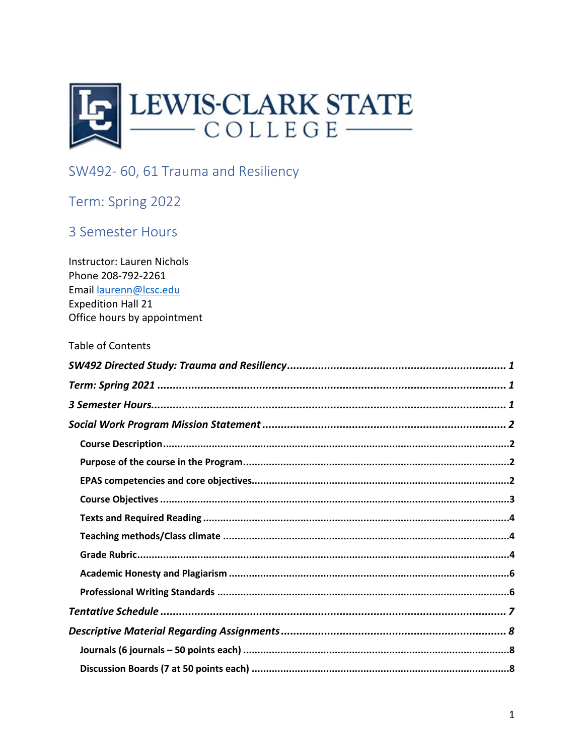<span id="page-0-0"></span>

# SW492-60, 61 Trauma and Resiliency

## <span id="page-0-1"></span>Term: Spring 2022

### <span id="page-0-2"></span>3 Semester Hours

| <b>Table of Contents</b> |
|--------------------------|
|                          |
|                          |
|                          |
|                          |
|                          |
|                          |
|                          |
|                          |
|                          |
|                          |
|                          |
|                          |
|                          |
|                          |
|                          |
|                          |
|                          |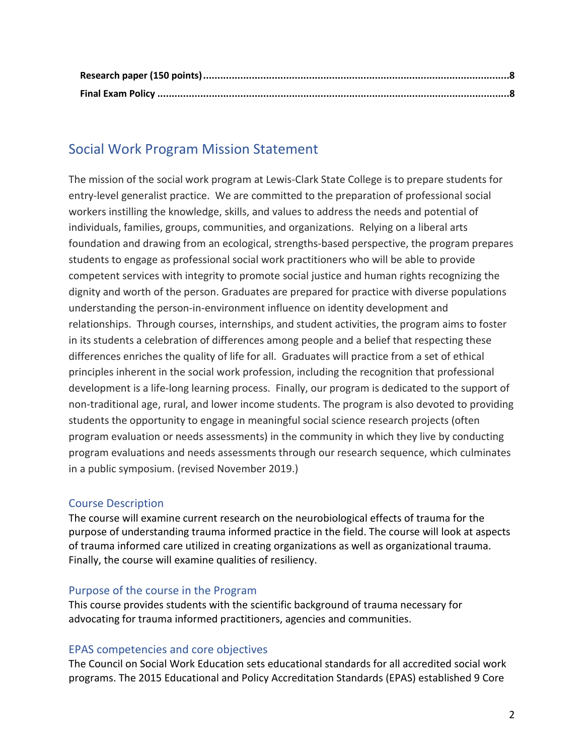## <span id="page-1-0"></span>Social Work Program Mission Statement

The mission of the social work program at Lewis-Clark State College is to prepare students for entry-level generalist practice. We are committed to the preparation of professional social workers instilling the knowledge, skills, and values to address the needs and potential of individuals, families, groups, communities, and organizations. Relying on a liberal arts foundation and drawing from an ecological, strengths-based perspective, the program prepares students to engage as professional social work practitioners who will be able to provide competent services with integrity to promote social justice and human rights recognizing the dignity and worth of the person. Graduates are prepared for practice with diverse populations understanding the person-in-environment influence on identity development and relationships. Through courses, internships, and student activities, the program aims to foster in its students a celebration of differences among people and a belief that respecting these differences enriches the quality of life for all. Graduates will practice from a set of ethical principles inherent in the social work profession, including the recognition that professional development is a life-long learning process. Finally, our program is dedicated to the support of non-traditional age, rural, and lower income students. The program is also devoted to providing students the opportunity to engage in meaningful social science research projects (often program evaluation or needs assessments) in the community in which they live by conducting program evaluations and needs assessments through our research sequence, which culminates in a public symposium. (revised November 2019.)

#### <span id="page-1-1"></span>Course Description

The course will examine current research on the neurobiological effects of trauma for the purpose of understanding trauma informed practice in the field. The course will look at aspects of trauma informed care utilized in creating organizations as well as organizational trauma. Finally, the course will examine qualities of resiliency.

#### <span id="page-1-2"></span>Purpose of the course in the Program

This course provides students with the scientific background of trauma necessary for advocating for trauma informed practitioners, agencies and communities.

#### <span id="page-1-3"></span>EPAS competencies and core objectives

 The Council on Social Work Education sets educational standards for all accredited social work programs. The 2015 Educational and Policy Accreditation Standards (EPAS) established 9 Core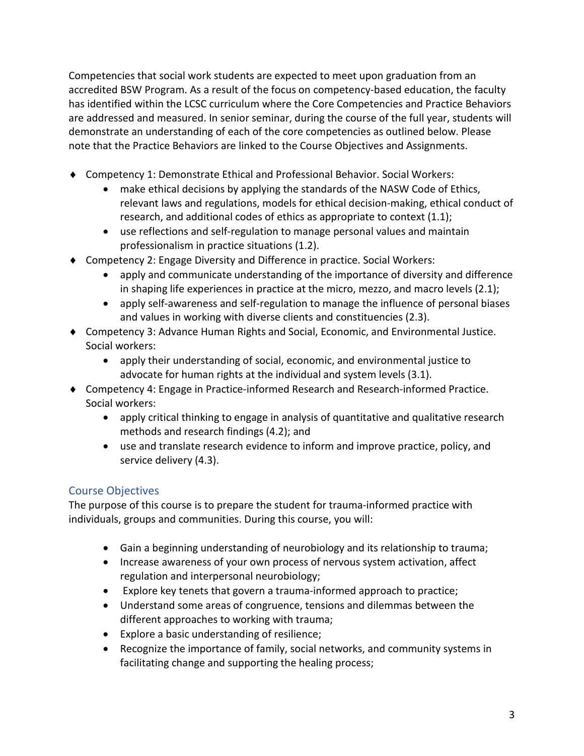Competencies that social work students are expected to meet upon graduation from an accredited BSW Program. As a result of the focus on competency-based education, the faculty has identified within the LCSC curriculum where the Core Competencies and Practice Behaviors are addressed and measured. In senior seminar, during the course of the full year, students will demonstrate an understanding of each of the core competencies as outlined below. Please note that the Practice Behaviors are linked to the Course Objectives and Assignments.

- ♦ Competency 1: Demonstrate Ethical and Professional Behavior. Social Workers:
	- make ethical decisions by applying the standards of the NASW Code of Ethics, relevant laws and regulations, models for ethical decision-making, ethical conduct of research, and additional codes of ethics as appropriate to context (1.1);
	- use reflections and self-regulation to manage personal values and maintain professionalism in practice situations (1.2).
- ♦ Competency 2: Engage Diversity and Difference in practice. Social Workers:
	- apply and communicate understanding of the importance of diversity and difference in shaping life experiences in practice at the micro, mezzo, and macro levels (2.1);
	- apply self-awareness and self-regulation to manage the influence of personal biases and values in working with diverse clients and constituencies (2.3).
- ♦ Competency 3: Advance Human Rights and Social, Economic, and Environmental Justice. Social workers:
	- apply their understanding of social, economic, and environmental justice to advocate for human rights at the individual and system levels (3.1).
- ♦ Competency 4: Engage in Practice-informed Research and Research-informed Practice. Social workers:
	- apply critical thinking to engage in analysis of quantitative and qualitative research methods and research findings (4.2); and
	- use and translate research evidence to inform and improve practice, policy, and service delivery (4.3).

### <span id="page-2-0"></span>Course Objectives

The purpose of this course is to prepare the student for trauma-informed practice with individuals, groups and communities. During this course, you will:

- Gain a beginning understanding of neurobiology and its relationship to trauma;
- Increase awareness of your own process of nervous system activation, affect regulation and interpersonal neurobiology;
- Explore key tenets that govern a trauma-informed approach to practice;
- Understand some areas of congruence, tensions and dilemmas between the different approaches to working with trauma;
- Explore a basic understanding of resilience;
- Recognize the importance of family, social networks, and community systems in facilitating change and supporting the healing process;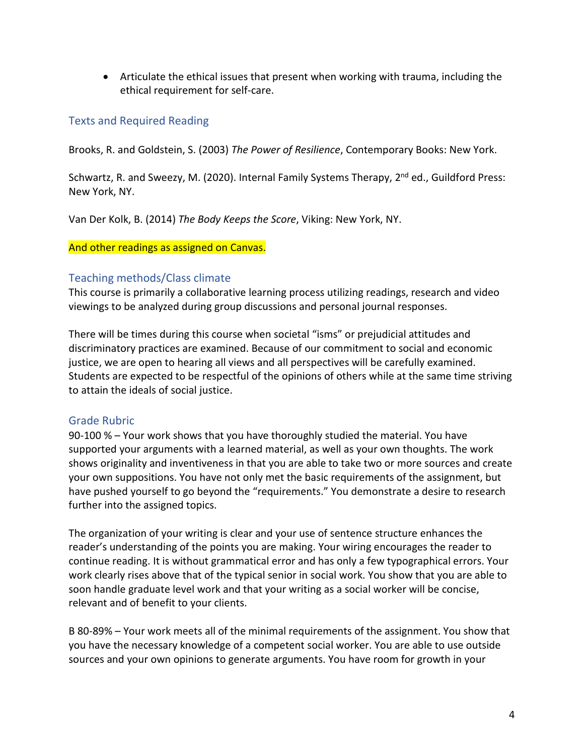• Articulate the ethical issues that present when working with trauma, including the ethical requirement for self-care.

#### <span id="page-3-0"></span>Texts and Required Reading

Brooks, R. and Goldstein, S. (2003) *The Power of Resilience*, Contemporary Books: New York.

Schwartz, R. and Sweezy, M. (2020). Internal Family Systems Therapy, 2<sup>nd</sup> ed., Guildford Press: New York, NY.

Van Der Kolk, B. (2014) *The Body Keeps the Score*, Viking: New York, NY.

#### And other readings as assigned on Canvas.

#### <span id="page-3-1"></span>Teaching methods/Class climate

This course is primarily a collaborative learning process utilizing readings, research and video viewings to be analyzed during group discussions and personal journal responses.

There will be times during this course when societal "isms" or prejudicial attitudes and discriminatory practices are examined. Because of our commitment to social and economic justice, we are open to hearing all views and all perspectives will be carefully examined. Students are expected to be respectful of the opinions of others while at the same time striving to attain the ideals of social justice.

#### <span id="page-3-2"></span>Grade Rubric

90-100 % – Your work shows that you have thoroughly studied the material. You have supported your arguments with a learned material, as well as your own thoughts. The work shows originality and inventiveness in that you are able to take two or more sources and create your own suppositions. You have not only met the basic requirements of the assignment, but have pushed yourself to go beyond the "requirements." You demonstrate a desire to research further into the assigned topics.

The organization of your writing is clear and your use of sentence structure enhances the reader's understanding of the points you are making. Your wiring encourages the reader to continue reading. It is without grammatical error and has only a few typographical errors. Your work clearly rises above that of the typical senior in social work. You show that you are able to soon handle graduate level work and that your writing as a social worker will be concise, relevant and of benefit to your clients.

B 80-89% – Your work meets all of the minimal requirements of the assignment. You show that you have the necessary knowledge of a competent social worker. You are able to use outside sources and your own opinions to generate arguments. You have room for growth in your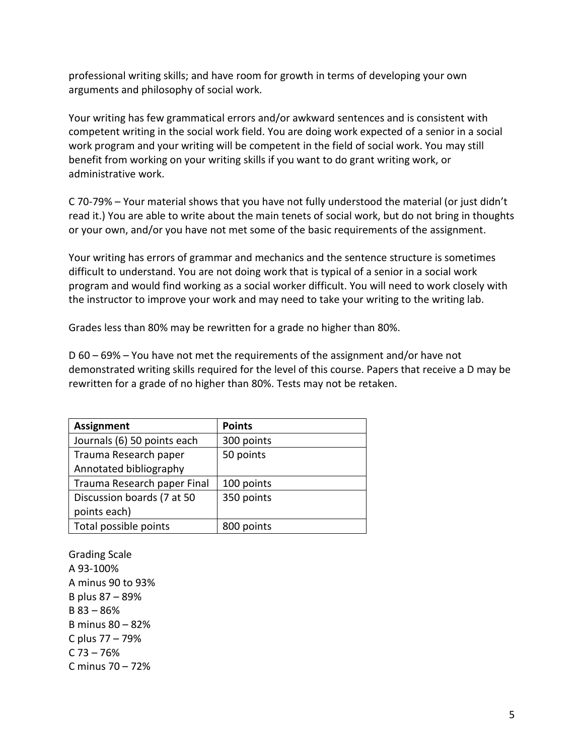professional writing skills; and have room for growth in terms of developing your own arguments and philosophy of social work.

Your writing has few grammatical errors and/or awkward sentences and is consistent with competent writing in the social work field. You are doing work expected of a senior in a social work program and your writing will be competent in the field of social work. You may still benefit from working on your writing skills if you want to do grant writing work, or administrative work.

C 70-79% – Your material shows that you have not fully understood the material (or just didn't read it.) You are able to write about the main tenets of social work, but do not bring in thoughts or your own, and/or you have not met some of the basic requirements of the assignment.

Your writing has errors of grammar and mechanics and the sentence structure is sometimes difficult to understand. You are not doing work that is typical of a senior in a social work program and would find working as a social worker difficult. You will need to work closely with the instructor to improve your work and may need to take your writing to the writing lab.

Grades less than 80% may be rewritten for a grade no higher than 80%.

D 60 – 69% – You have not met the requirements of the assignment and/or have not demonstrated writing skills required for the level of this course. Papers that receive a D may be rewritten for a grade of no higher than 80%. Tests may not be retaken.

| <b>Assignment</b>           | <b>Points</b> |
|-----------------------------|---------------|
| Journals (6) 50 points each | 300 points    |
| Trauma Research paper       | 50 points     |
| Annotated bibliography      |               |
| Trauma Research paper Final | 100 points    |
| Discussion boards (7 at 50  | 350 points    |
| points each)                |               |
| Total possible points       | 800 points    |

Grading Scale A 93-100% A minus 90 to 93% B plus 87 – 89% B 83 – 86% B minus 80 – 82% C plus 77 – 79%  $C$  73 – 76% C minus 70 – 72%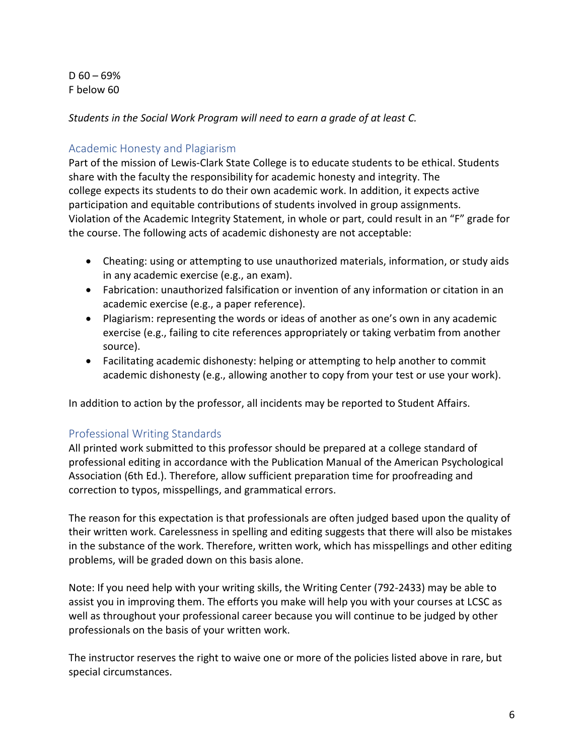$D$  60 – 69% F below 60

*Students in the Social Work Program will need to earn a grade of at least C.*

#### <span id="page-5-0"></span>Academic Honesty and Plagiarism

Part of the mission of Lewis-Clark State College is to educate students to be ethical. Students share with the faculty the responsibility for academic honesty and integrity. The college expects its students to do their own academic work. In addition, it expects active participation and equitable contributions of students involved in group assignments. Violation of the Academic Integrity Statement, in whole or part, could result in an "F" grade for the course. The following acts of academic dishonesty are not acceptable:

- Cheating: using or attempting to use unauthorized materials, information, or study aids in any academic exercise (e.g., an exam).
- Fabrication: unauthorized falsification or invention of any information or citation in an academic exercise (e.g., a paper reference).
- Plagiarism: representing the words or ideas of another as one's own in any academic exercise (e.g., failing to cite references appropriately or taking verbatim from another source).
- Facilitating academic dishonesty: helping or attempting to help another to commit academic dishonesty (e.g., allowing another to copy from your test or use your work).

In addition to action by the professor, all incidents may be reported to Student Affairs.

#### <span id="page-5-1"></span>Professional Writing Standards

All printed work submitted to this professor should be prepared at a college standard of professional editing in accordance with the Publication Manual of the American Psychological Association (6th Ed.). Therefore, allow sufficient preparation time for proofreading and correction to typos, misspellings, and grammatical errors.

The reason for this expectation is that professionals are often judged based upon the quality of their written work. Carelessness in spelling and editing suggests that there will also be mistakes in the substance of the work. Therefore, written work, which has misspellings and other editing problems, will be graded down on this basis alone.

Note: If you need help with your writing skills, the Writing Center (792-2433) may be able to assist you in improving them. The efforts you make will help you with your courses at LCSC as well as throughout your professional career because you will continue to be judged by other professionals on the basis of your written work.

The instructor reserves the right to waive one or more of the policies listed above in rare, but special circumstances.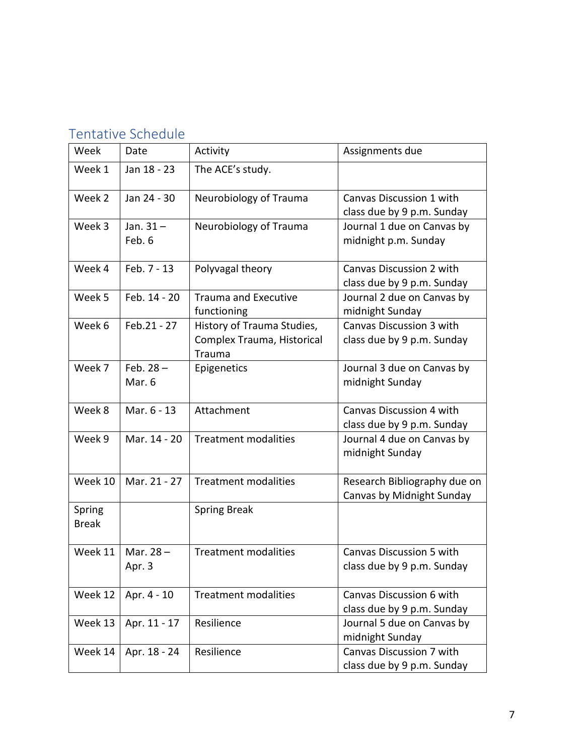# <span id="page-6-0"></span>Tentative Schedule

| Week                   | Date                  | Activity                                                           | Assignments due                                               |
|------------------------|-----------------------|--------------------------------------------------------------------|---------------------------------------------------------------|
| Week 1                 | Jan 18 - 23           | The ACE's study.                                                   |                                                               |
| Week 2                 | Jan 24 - 30           | Neurobiology of Trauma                                             | Canvas Discussion 1 with<br>class due by 9 p.m. Sunday        |
| Week 3                 | Jan. $31 -$<br>Feb. 6 | Neurobiology of Trauma                                             | Journal 1 due on Canvas by<br>midnight p.m. Sunday            |
| Week 4                 | Feb. 7 - 13           | Polyvagal theory                                                   | Canvas Discussion 2 with<br>class due by 9 p.m. Sunday        |
| Week 5                 | Feb. 14 - 20          | <b>Trauma and Executive</b><br>functioning                         | Journal 2 due on Canvas by<br>midnight Sunday                 |
| Week 6                 | Feb.21 - 27           | History of Trauma Studies,<br>Complex Trauma, Historical<br>Trauma | Canvas Discussion 3 with<br>class due by 9 p.m. Sunday        |
| Week 7                 | Feb. $28 -$<br>Mar. 6 | Epigenetics                                                        | Journal 3 due on Canvas by<br>midnight Sunday                 |
| Week 8                 | Mar. 6 - 13           | Attachment                                                         | Canvas Discussion 4 with<br>class due by 9 p.m. Sunday        |
| Week 9                 | Mar. 14 - 20          | <b>Treatment modalities</b>                                        | Journal 4 due on Canvas by<br>midnight Sunday                 |
| Week 10                | Mar. 21 - 27          | <b>Treatment modalities</b>                                        | Research Bibliography due on<br>Canvas by Midnight Sunday     |
| Spring<br><b>Break</b> |                       | <b>Spring Break</b>                                                |                                                               |
| Week 11                | Mar. $28 -$<br>Apr. 3 | <b>Treatment modalities</b>                                        | <b>Canvas Discussion 5 with</b><br>class due by 9 p.m. Sunday |
| Week 12                | Apr. 4 - 10           | <b>Treatment modalities</b>                                        | Canvas Discussion 6 with<br>class due by 9 p.m. Sunday        |
| Week 13                | Apr. 11 - 17          | Resilience                                                         | Journal 5 due on Canvas by<br>midnight Sunday                 |
| Week 14                | Apr. 18 - 24          | Resilience                                                         | Canvas Discussion 7 with<br>class due by 9 p.m. Sunday        |